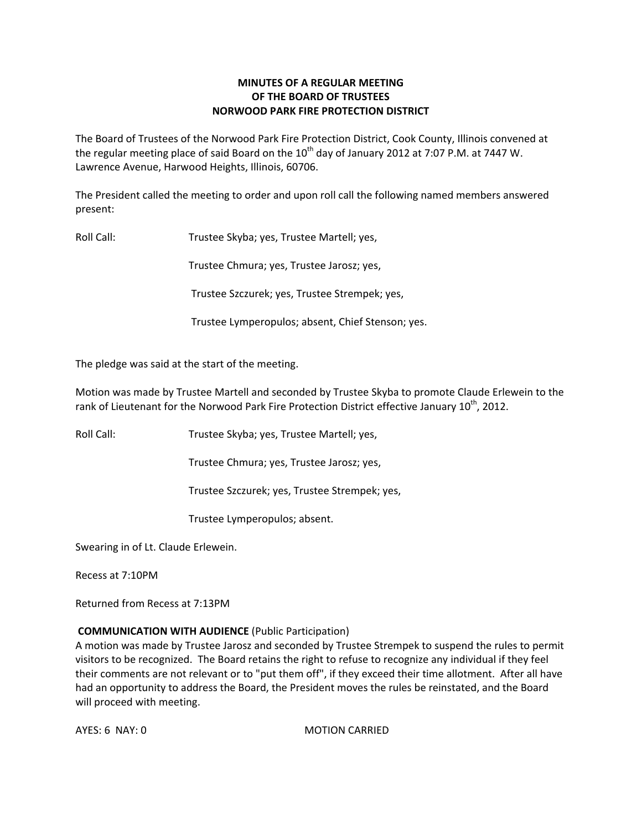# **MINUTES OF A REGULAR MEETING OF THE BOARD OF TRUSTEES NORWOOD PARK FIRE PROTECTION DISTRICT**

The Board of Trustees of the Norwood Park Fire Protection District, Cook County, Illinois convened at the regular meeting place of said Board on the  $10<sup>th</sup>$  day of January 2012 at 7:07 P.M. at 7447 W. Lawrence Avenue, Harwood Heights, Illinois, 60706.

The President called the meeting to order and upon roll call the following named members answered present:

Roll Call: Trustee Skyba; yes, Trustee Martell; yes,

Trustee Chmura; yes, Trustee Jarosz; yes,

Trustee Szczurek; yes, Trustee Strempek; yes,

Trustee Lymperopulos; absent, Chief Stenson; yes.

The pledge was said at the start of the meeting.

Motion was made by Trustee Martell and seconded by Trustee Skyba to promote Claude Erlewein to the rank of Lieutenant for the Norwood Park Fire Protection District effective January 10<sup>th</sup>, 2012.

Roll Call: Trustee Skyba; yes, Trustee Martell; yes,

Trustee Chmura; yes, Trustee Jarosz; yes,

Trustee Szczurek; yes, Trustee Strempek; yes,

Trustee Lymperopulos; absent.

Swearing in of Lt. Claude Erlewein.

Recess at 7:10PM

Returned from Recess at 7:13PM

## **COMMUNICATION WITH AUDIENCE** (Public Participation)

A motion was made by Trustee Jarosz and seconded by Trustee Strempek to suspend the rules to permit visitors to be recognized. The Board retains the right to refuse to recognize any individual if they feel their comments are not relevant or to "put them off", if they exceed their time allotment. After all have had an opportunity to address the Board, the President moves the rules be reinstated, and the Board will proceed with meeting.

AYES: 6 NAY: 0 MOTION CARRIED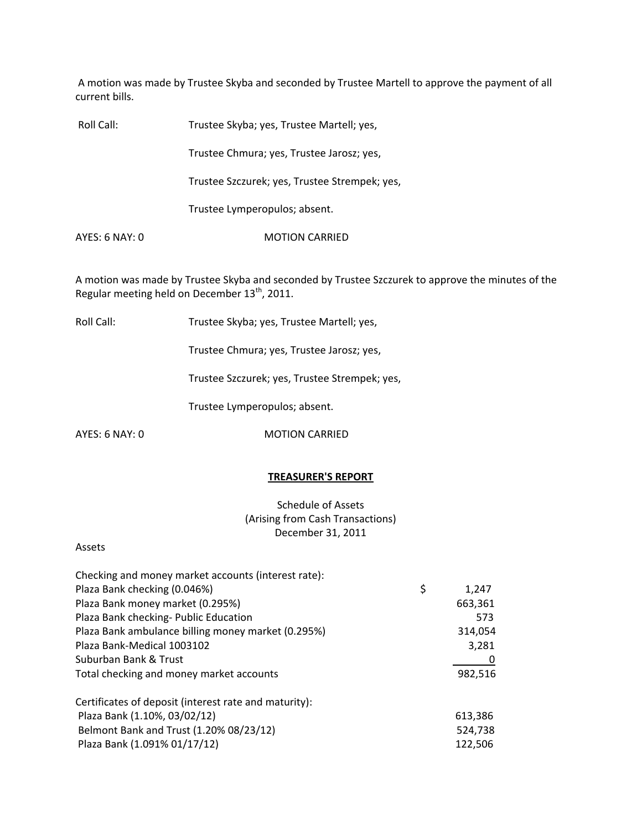A motion was made by Trustee Skyba and seconded by Trustee Martell to approve the payment of all current bills.

| Roll Call:     | Trustee Skyba; yes, Trustee Martell; yes,     |
|----------------|-----------------------------------------------|
|                | Trustee Chmura; yes, Trustee Jarosz; yes,     |
|                | Trustee Szczurek; yes, Trustee Strempek; yes, |
|                | Trustee Lymperopulos; absent.                 |
| AYES: 6 NAY: 0 | <b>MOTION CARRIED</b>                         |

A motion was made by Trustee Skyba and seconded by Trustee Szczurek to approve the minutes of the Regular meeting held on December  $13^{th}$ , 2011.

Roll Call: Trustee Skyba; yes, Trustee Martell; yes,

Trustee Chmura; yes, Trustee Jarosz; yes,

Trustee Szczurek; yes, Trustee Strempek; yes,

Trustee Lymperopulos; absent.

AYES: 6 NAY: 0 MOTION CARRIED

#### **TREASURER'S REPORT**

Schedule of Assets (Arising from Cash Transactions) December 31, 2011

#### Assets

| Checking and money market accounts (interest rate):   |             |  |
|-------------------------------------------------------|-------------|--|
| Plaza Bank checking (0.046%)                          | \$<br>1,247 |  |
| Plaza Bank money market (0.295%)                      | 663,361     |  |
| Plaza Bank checking- Public Education                 | 573         |  |
| Plaza Bank ambulance billing money market (0.295%)    | 314,054     |  |
| Plaza Bank-Medical 1003102                            | 3,281       |  |
| Suburban Bank & Trust                                 | 0           |  |
| Total checking and money market accounts              | 982,516     |  |
| Certificates of deposit (interest rate and maturity): |             |  |
| Plaza Bank (1.10%, 03/02/12)                          | 613,386     |  |
| Belmont Bank and Trust (1.20% 08/23/12)               | 524,738     |  |
| Plaza Bank (1.091% 01/17/12)                          | 122,506     |  |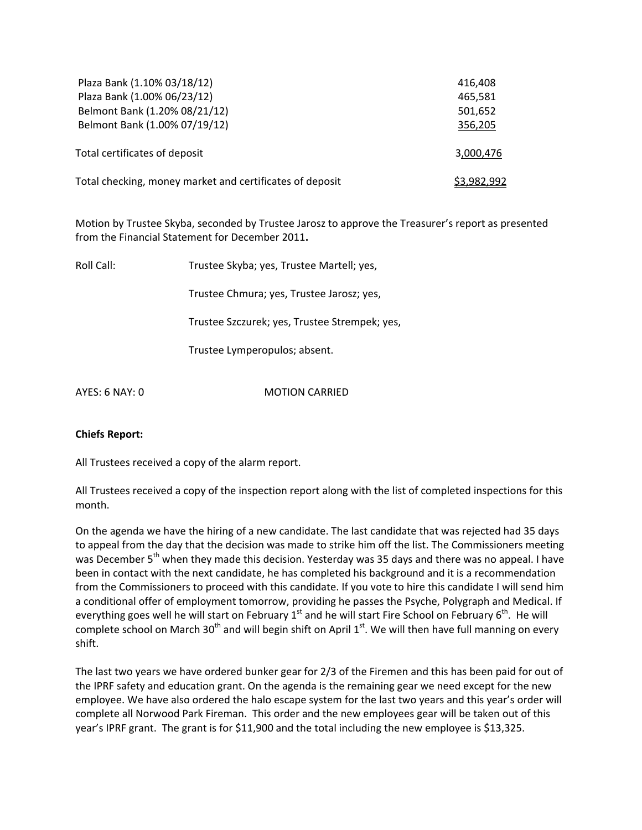| Plaza Bank (1.10% 03/18/12)                                  | 416,408            |
|--------------------------------------------------------------|--------------------|
| Plaza Bank (1.00% 06/23/12)<br>Belmont Bank (1.20% 08/21/12) | 465,581            |
| Belmont Bank (1.00% 07/19/12)                                | 501,652<br>356,205 |
|                                                              |                    |
| Total certificates of deposit                                | 3,000,476          |
| Total checking, money market and certificates of deposit     | <u>\$3,982,992</u> |

Motion by Trustee Skyba, seconded by Trustee Jarosz to approve the Treasurer's report as presented from the Financial Statement for December 2011**.**

| Roll Call: | Trustee Skyba; yes, Trustee Martell; yes,     |
|------------|-----------------------------------------------|
|            | Trustee Chmura; yes, Trustee Jarosz; yes,     |
|            | Trustee Szczurek; yes, Trustee Strempek; yes, |
|            | Trustee Lymperopulos; absent.                 |
|            |                                               |

AYES: 6 NAY: 0 MOTION CARRIED

## **Chiefs Report:**

All Trustees received a copy of the alarm report.

All Trustees received a copy of the inspection report along with the list of completed inspections for this month.

On the agenda we have the hiring of a new candidate. The last candidate that was rejected had 35 days to appeal from the day that the decision was made to strike him off the list. The Commissioners meeting was December 5<sup>th</sup> when they made this decision. Yesterday was 35 days and there was no appeal. I have been in contact with the next candidate, he has completed his background and it is a recommendation from the Commissioners to proceed with this candidate. If you vote to hire this candidate I will send him a conditional offer of employment tomorrow, providing he passes the Psyche, Polygraph and Medical. If everything goes well he will start on February 1<sup>st</sup> and he will start Fire School on February 6<sup>th</sup>. He will complete school on March 30<sup>th</sup> and will begin shift on April 1<sup>st</sup>. We will then have full manning on every shift.

The last two years we have ordered bunker gear for 2/3 of the Firemen and this has been paid for out of the IPRF safety and education grant. On the agenda is the remaining gear we need except for the new employee. We have also ordered the halo escape system for the last two years and this year's order will complete all Norwood Park Fireman. This order and the new employees gear will be taken out of this year's IPRF grant. The grant is for \$11,900 and the total including the new employee is \$13,325.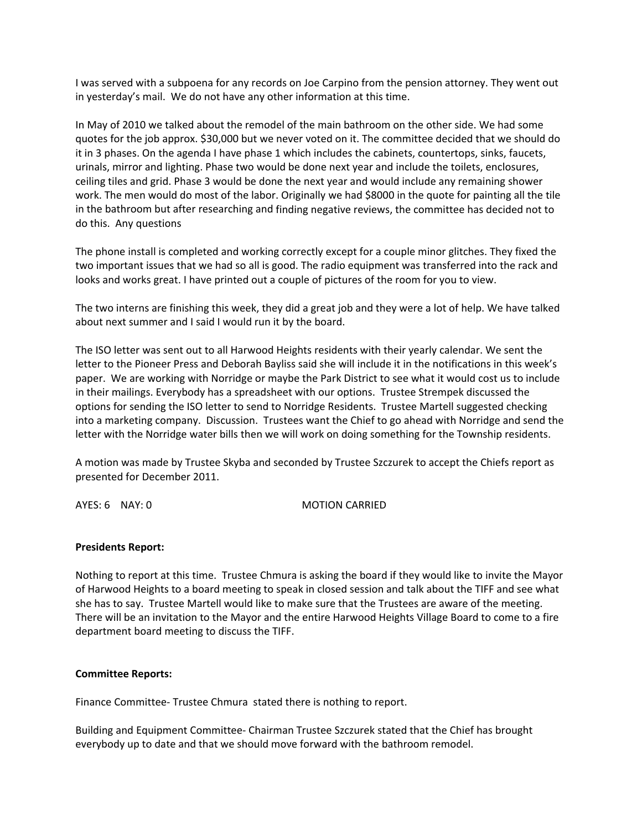I was served with a subpoena for any records on Joe Carpino from the pension attorney. They went out in yesterday's mail. We do not have any other information at this time.

In May of 2010 we talked about the remodel of the main bathroom on the other side. We had some quotes for the job approx. \$30,000 but we never voted on it. The committee decided that we should do it in 3 phases. On the agenda I have phase 1 which includes the cabinets, countertops, sinks, faucets, urinals, mirror and lighting. Phase two would be done next year and include the toilets, enclosures, ceiling tiles and grid. Phase 3 would be done the next year and would include any remaining shower work. The men would do most of the labor. Originally we had \$8000 in the quote for painting all the tile in the bathroom but after researching and finding negative reviews, the committee has decided not to do this. Any questions

The phone install is completed and working correctly except for a couple minor glitches. They fixed the two important issues that we had so all is good. The radio equipment was transferred into the rack and looks and works great. I have printed out a couple of pictures of the room for you to view.

The two interns are finishing this week, they did a great job and they were a lot of help. We have talked about next summer and I said I would run it by the board.

The ISO letter was sent out to all Harwood Heights residents with their yearly calendar. We sent the letter to the Pioneer Press and Deborah Bayliss said she will include it in the notifications in this week's paper. We are working with Norridge or maybe the Park District to see what it would cost us to include in their mailings. Everybody has a spreadsheet with our options. Trustee Strempek discussed the options for sending the ISO letter to send to Norridge Residents. Trustee Martell suggested checking into a marketing company. Discussion. Trustees want the Chief to go ahead with Norridge and send the letter with the Norridge water bills then we will work on doing something for the Township residents.

A motion was made by Trustee Skyba and seconded by Trustee Szczurek to accept the Chiefs report as presented for December 2011.

AYES: 6 NAY: 0 MOTION CARRIED

## **Presidents Report:**

Nothing to report at this time. Trustee Chmura is asking the board if they would like to invite the Mayor of Harwood Heights to a board meeting to speak in closed session and talk about the TIFF and see what she has to say. Trustee Martell would like to make sure that the Trustees are aware of the meeting. There will be an invitation to the Mayor and the entire Harwood Heights Village Board to come to a fire department board meeting to discuss the TIFF.

## **Committee Reports:**

Finance Committee‐ Trustee Chmura stated there is nothing to report.

Building and Equipment Committee‐ Chairman Trustee Szczurek stated that the Chief has brought everybody up to date and that we should move forward with the bathroom remodel.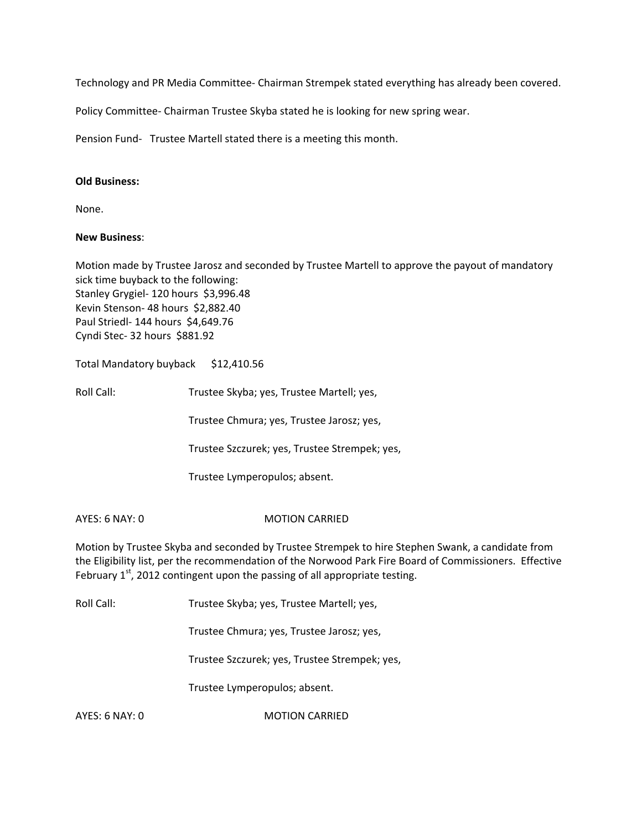Technology and PR Media Committee‐ Chairman Strempek stated everything has already been covered.

Policy Committee‐ Chairman Trustee Skyba stated he is looking for new spring wear.

Pension Fund- Trustee Martell stated there is a meeting this month.

#### **Old Business:**

None.

#### **New Business**:

Motion made by Trustee Jarosz and seconded by Trustee Martell to approve the payout of mandatory sick time buyback to the following: Stanley Grygiel- 120 hours \$3,996.48 Kevin Stenson- 48 hours \$2,882.40 Paul Striedl‐ 144 hours \$4,649.76 Cyndi Stec- 32 hours \$881.92

Total Mandatory buyback \$12,410.56

Roll Call: Trustee Skyba; yes, Trustee Martell; yes,

Trustee Chmura; yes, Trustee Jarosz; yes,

Trustee Szczurek; yes, Trustee Strempek; yes,

Trustee Lymperopulos; absent.

#### AYES: 6 NAY: 0 MOTION CARRIED

Motion by Trustee Skyba and seconded by Trustee Strempek to hire Stephen Swank, a candidate from the Eligibility list, per the recommendation of the Norwood Park Fire Board of Commissioners. Effective February  $1<sup>st</sup>$ , 2012 contingent upon the passing of all appropriate testing.

Roll Call: Trustee Skyba; yes, Trustee Martell; yes,

Trustee Chmura; yes, Trustee Jarosz; yes,

Trustee Szczurek; yes, Trustee Strempek; yes,

Trustee Lymperopulos; absent.

AYES: 6 NAY: 0 MOTION CARRIED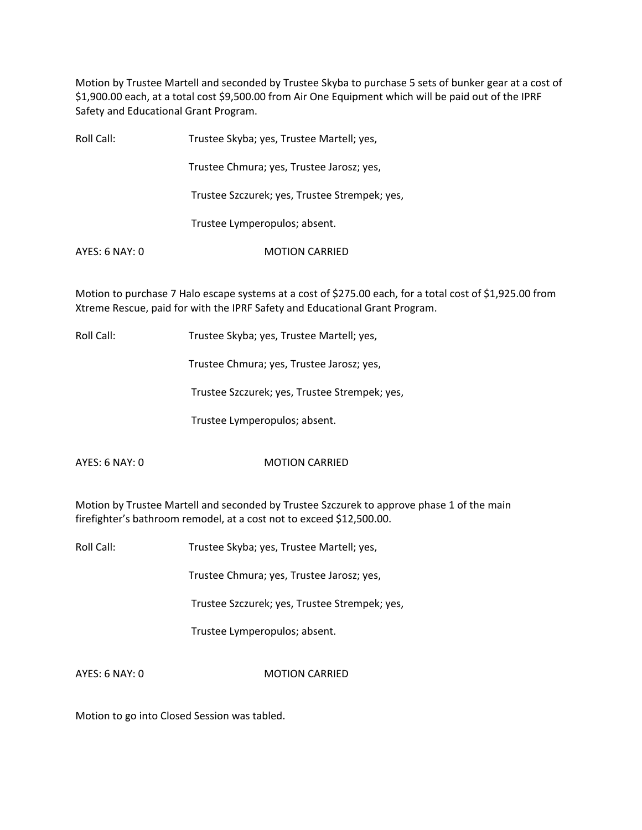Motion by Trustee Martell and seconded by Trustee Skyba to purchase 5 sets of bunker gear at a cost of \$1,900.00 each, at a total cost \$9,500.00 from Air One Equipment which will be paid out of the IPRF Safety and Educational Grant Program.

| Roll Call:     | Trustee Skyba; yes, Trustee Martell; yes,     |
|----------------|-----------------------------------------------|
|                | Trustee Chmura; yes, Trustee Jarosz; yes,     |
|                | Trustee Szczurek; yes, Trustee Strempek; yes, |
|                | Trustee Lymperopulos; absent.                 |
| AYES: 6 NAY: 0 | <b>MOTION CARRIED</b>                         |

Motion to purchase 7 Halo escape systems at a cost of \$275.00 each, for a total cost of \$1,925.00 from Xtreme Rescue, paid for with the IPRF Safety and Educational Grant Program.

Roll Call: Trustee Skyba; yes, Trustee Martell; yes,

Trustee Chmura; yes, Trustee Jarosz; yes,

Trustee Szczurek; yes, Trustee Strempek; yes,

Trustee Lymperopulos; absent.

AYES: 6 NAY: 0 MOTION CARRIED

Motion by Trustee Martell and seconded by Trustee Szczurek to approve phase 1 of the main firefighter's bathroom remodel, at a cost not to exceed \$12,500.00.

Roll Call: Trustee Skyba; yes, Trustee Martell; yes,

Trustee Chmura; yes, Trustee Jarosz; yes,

Trustee Szczurek; yes, Trustee Strempek; yes,

Trustee Lymperopulos; absent.

AYES: 6 NAY: 0 MOTION CARRIED

Motion to go into Closed Session was tabled.